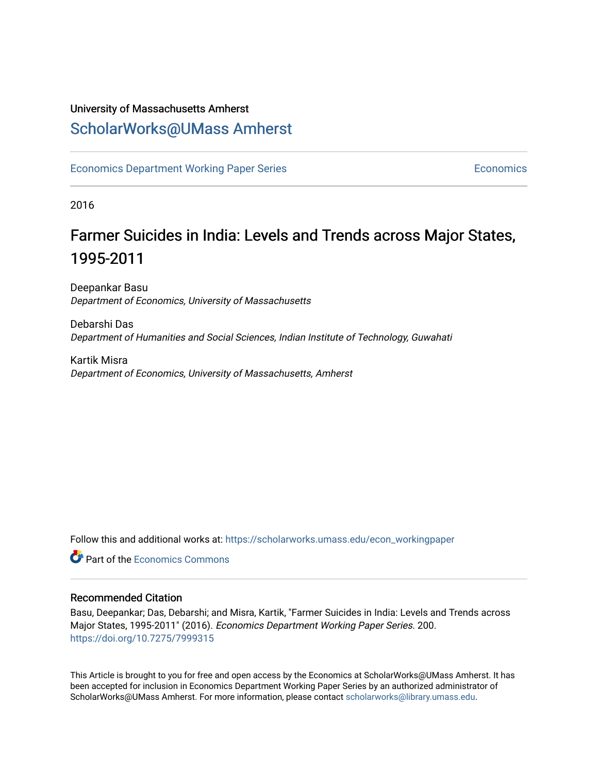## University of Massachusetts Amherst [ScholarWorks@UMass Amherst](https://scholarworks.umass.edu/)

[Economics Department Working Paper Series](https://scholarworks.umass.edu/econ_workingpaper) **Economics** [Economics](https://scholarworks.umass.edu/economics) Economics

2016

## Farmer Suicides in India: Levels and Trends across Major States, 1995-2011

Deepankar Basu Department of Economics, University of Massachusetts

Debarshi Das Department of Humanities and Social Sciences, Indian Institute of Technology, Guwahati

Kartik Misra Department of Economics, University of Massachusetts, Amherst

Follow this and additional works at: [https://scholarworks.umass.edu/econ\\_workingpaper](https://scholarworks.umass.edu/econ_workingpaper?utm_source=scholarworks.umass.edu%2Fecon_workingpaper%2F200&utm_medium=PDF&utm_campaign=PDFCoverPages) 

**C** Part of the [Economics Commons](http://network.bepress.com/hgg/discipline/340?utm_source=scholarworks.umass.edu%2Fecon_workingpaper%2F200&utm_medium=PDF&utm_campaign=PDFCoverPages)

#### Recommended Citation

Basu, Deepankar; Das, Debarshi; and Misra, Kartik, "Farmer Suicides in India: Levels and Trends across Major States, 1995-2011" (2016). Economics Department Working Paper Series. 200. <https://doi.org/10.7275/7999315>

This Article is brought to you for free and open access by the Economics at ScholarWorks@UMass Amherst. It has been accepted for inclusion in Economics Department Working Paper Series by an authorized administrator of ScholarWorks@UMass Amherst. For more information, please contact [scholarworks@library.umass.edu.](mailto:scholarworks@library.umass.edu)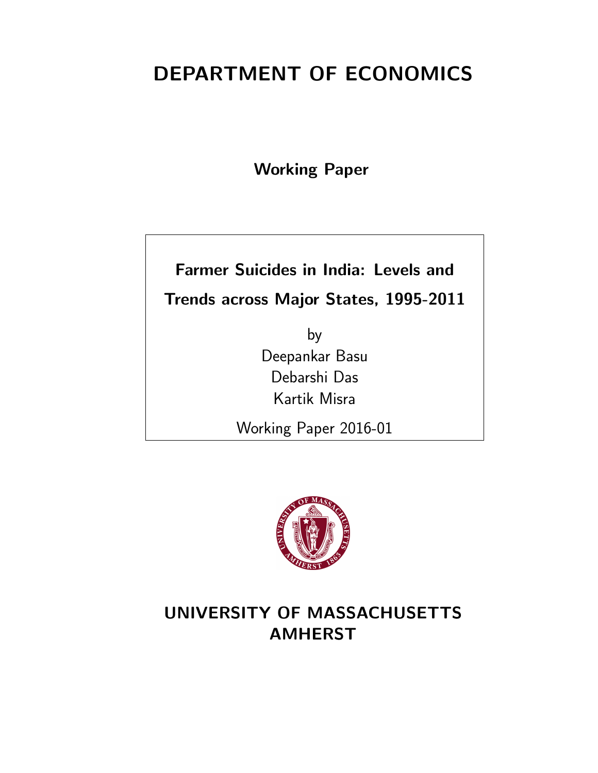# DEPARTMENT OF ECONOMICS

Working Paper

# Farmer Suicides in India: Levels and Trends across Major States, 1995-2011

by Deepankar Basu Debarshi Das Kartik Misra

Working Paper 2016-01



## UNIVERSITY OF MASSACHUSETTS AMHERST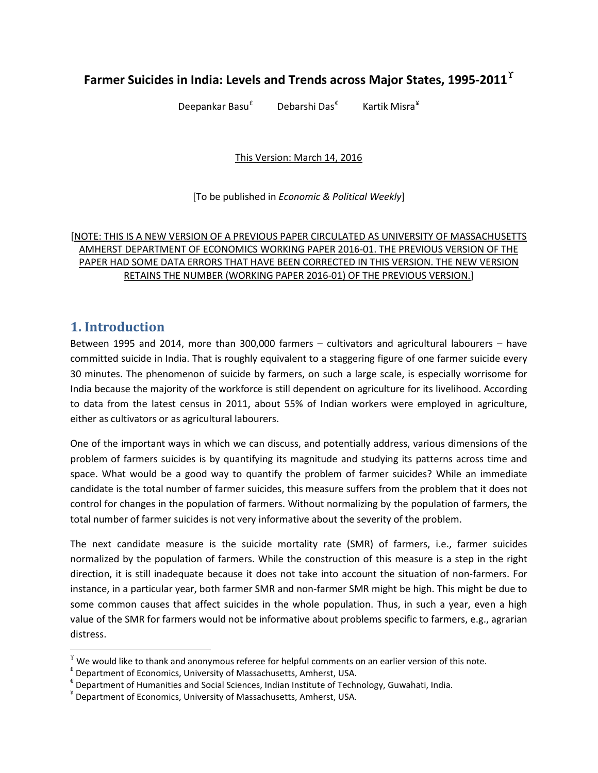## **Farmer Suicides in India: Levels and Trends across Major States, 1995-2011** $^{\Upsilon}$

Deepankar Basu<sup>[£](#page-2-1)</sup> Debarshi Das[€](#page-2-2) Kartik Misra[¥](#page-2-3)

This Version: March 14, 2016

[To be published in *Economic & Political Weekly*]

#### [NOTE: THIS IS A NEW VERSION OF A PREVIOUS PAPER CIRCULATED AS UNIVERSITY OF MASSACHUSETTS AMHERST DEPARTMENT OF ECONOMICS WORKING PAPER 2016-01. THE PREVIOUS VERSION OF THE PAPER HAD SOME DATA ERRORS THAT HAVE BEEN CORRECTED IN THIS VERSION. THE NEW VERSION RETAINS THE NUMBER (WORKING PAPER 2016-01) OF THE PREVIOUS VERSION.]

## **1. Introduction**

l

Between 1995 and 2014, more than 300,000 farmers – cultivators and agricultural labourers – have committed suicide in India. That is roughly equivalent to a staggering figure of one farmer suicide every 30 minutes. The phenomenon of suicide by farmers, on such a large scale, is especially worrisome for India because the majority of the workforce is still dependent on agriculture for its livelihood. According to data from the latest census in 2011, about 55% of Indian workers were employed in agriculture, either as cultivators or as agricultural labourers.

One of the important ways in which we can discuss, and potentially address, various dimensions of the problem of farmers suicides is by quantifying its magnitude and studying its patterns across time and space. What would be a good way to quantify the problem of farmer suicides? While an immediate candidate is the total number of farmer suicides, this measure suffers from the problem that it does not control for changes in the population of farmers. Without normalizing by the population of farmers, the total number of farmer suicides is not very informative about the severity of the problem.

The next candidate measure is the suicide mortality rate (SMR) of farmers, i.e., farmer suicides normalized by the population of farmers. While the construction of this measure is a step in the right direction, it is still inadequate because it does not take into account the situation of non-farmers. For instance, in a particular year, both farmer SMR and non-farmer SMR might be high. This might be due to some common causes that affect suicides in the whole population. Thus, in such a year, even a high value of the SMR for farmers would not be informative about problems specific to farmers, e.g., agrarian distress.

<span id="page-2-0"></span> $\Upsilon$  We would like to thank and anonymous referee for helpful comments on an earlier version of this note.

<span id="page-2-1"></span> $f$  Department of Economics, University of Massachusetts, Amherst, USA.

<span id="page-2-2"></span> $^{\epsilon}$  Department of Humanities and Social Sciences, Indian Institute of Technology, Guwahati, India.

<span id="page-2-3"></span><sup>¥</sup> Department of Economics, University of Massachusetts, Amherst, USA.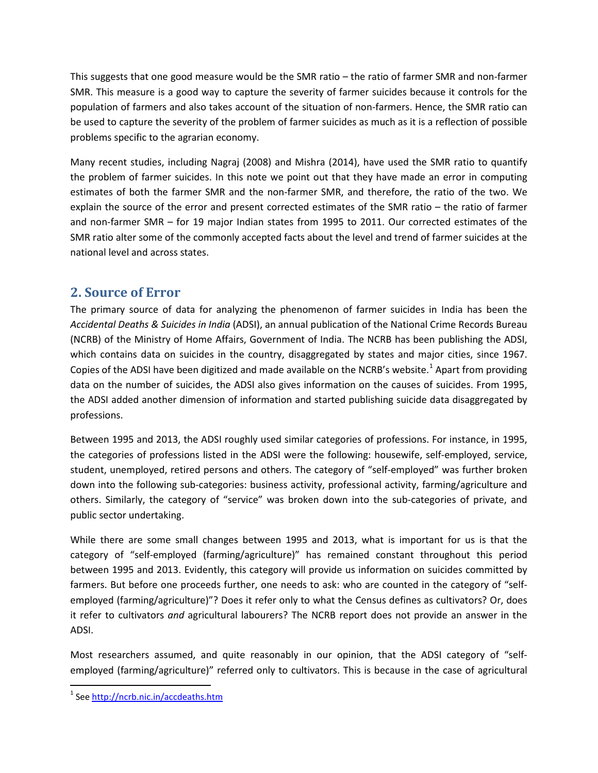This suggests that one good measure would be the SMR ratio – the ratio of farmer SMR and non-farmer SMR. This measure is a good way to capture the severity of farmer suicides because it controls for the population of farmers and also takes account of the situation of non-farmers. Hence, the SMR ratio can be used to capture the severity of the problem of farmer suicides as much as it is a reflection of possible problems specific to the agrarian economy.

Many recent studies, including Nagraj (2008) and Mishra (2014), have used the SMR ratio to quantify the problem of farmer suicides. In this note we point out that they have made an error in computing estimates of both the farmer SMR and the non-farmer SMR, and therefore, the ratio of the two. We explain the source of the error and present corrected estimates of the SMR ratio – the ratio of farmer and non-farmer SMR – for 19 major Indian states from 1995 to 2011. Our corrected estimates of the SMR ratio alter some of the commonly accepted facts about the level and trend of farmer suicides at the national level and across states.

## **2. Source of Error**

The primary source of data for analyzing the phenomenon of farmer suicides in India has been the *Accidental Deaths & Suicides in India* (ADSI), an annual publication of the National Crime Records Bureau (NCRB) of the Ministry of Home Affairs, Government of India. The NCRB has been publishing the ADSI, which contains data on suicides in the country, disaggregated by states and major cities, since 1967. Copies of the ADSI have been digitized and made available on the NCRB's website.<sup>[1](#page-3-0)</sup> Apart from providing data on the number of suicides, the ADSI also gives information on the causes of suicides. From 1995, the ADSI added another dimension of information and started publishing suicide data disaggregated by professions.

Between 1995 and 2013, the ADSI roughly used similar categories of professions. For instance, in 1995, the categories of professions listed in the ADSI were the following: housewife, self-employed, service, student, unemployed, retired persons and others. The category of "self-employed" was further broken down into the following sub-categories: business activity, professional activity, farming/agriculture and others. Similarly, the category of "service" was broken down into the sub-categories of private, and public sector undertaking.

While there are some small changes between 1995 and 2013, what is important for us is that the category of "self-employed (farming/agriculture)" has remained constant throughout this period between 1995 and 2013. Evidently, this category will provide us information on suicides committed by farmers. But before one proceeds further, one needs to ask: who are counted in the category of "selfemployed (farming/agriculture)"? Does it refer only to what the Census defines as cultivators? Or, does it refer to cultivators *and* agricultural labourers? The NCRB report does not provide an answer in the ADSI.

Most researchers assumed, and quite reasonably in our opinion, that the ADSI category of "selfemployed (farming/agriculture)" referred only to cultivators. This is because in the case of agricultural

<u>.</u>

<span id="page-3-0"></span><sup>&</sup>lt;sup>1</sup> See http://ncrb.nic.in/accdeaths.htm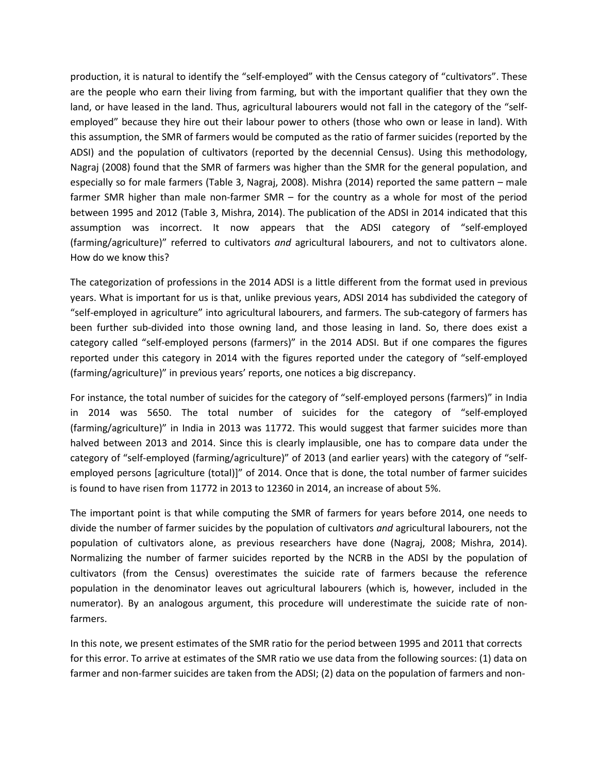production, it is natural to identify the "self-employed" with the Census category of "cultivators". These are the people who earn their living from farming, but with the important qualifier that they own the land, or have leased in the land. Thus, agricultural labourers would not fall in the category of the "selfemployed" because they hire out their labour power to others (those who own or lease in land). With this assumption, the SMR of farmers would be computed as the ratio of farmer suicides (reported by the ADSI) and the population of cultivators (reported by the decennial Census). Using this methodology, Nagraj (2008) found that the SMR of farmers was higher than the SMR for the general population, and especially so for male farmers (Table 3, Nagraj, 2008). Mishra (2014) reported the same pattern – male farmer SMR higher than male non-farmer SMR – for the country as a whole for most of the period between 1995 and 2012 (Table 3, Mishra, 2014). The publication of the ADSI in 2014 indicated that this assumption was incorrect. It now appears that the ADSI category of "self-employed (farming/agriculture)" referred to cultivators *and* agricultural labourers, and not to cultivators alone. How do we know this?

The categorization of professions in the 2014 ADSI is a little different from the format used in previous years. What is important for us is that, unlike previous years, ADSI 2014 has subdivided the category of "self-employed in agriculture" into agricultural labourers, and farmers. The sub-category of farmers has been further sub-divided into those owning land, and those leasing in land. So, there does exist a category called "self-employed persons (farmers)" in the 2014 ADSI. But if one compares the figures reported under this category in 2014 with the figures reported under the category of "self-employed (farming/agriculture)" in previous years' reports, one notices a big discrepancy.

For instance, the total number of suicides for the category of "self-employed persons (farmers)" in India in 2014 was 5650. The total number of suicides for the category of "self-employed (farming/agriculture)" in India in 2013 was 11772. This would suggest that farmer suicides more than halved between 2013 and 2014. Since this is clearly implausible, one has to compare data under the category of "self-employed (farming/agriculture)" of 2013 (and earlier years) with the category of "selfemployed persons [agriculture (total)]" of 2014. Once that is done, the total number of farmer suicides is found to have risen from 11772 in 2013 to 12360 in 2014, an increase of about 5%.

The important point is that while computing the SMR of farmers for years before 2014, one needs to divide the number of farmer suicides by the population of cultivators *and* agricultural labourers, not the population of cultivators alone, as previous researchers have done (Nagraj, 2008; Mishra, 2014). Normalizing the number of farmer suicides reported by the NCRB in the ADSI by the population of cultivators (from the Census) overestimates the suicide rate of farmers because the reference population in the denominator leaves out agricultural labourers (which is, however, included in the numerator). By an analogous argument, this procedure will underestimate the suicide rate of nonfarmers.

In this note, we present estimates of the SMR ratio for the period between 1995 and 2011 that corrects for this error. To arrive at estimates of the SMR ratio we use data from the following sources: (1) data on farmer and non-farmer suicides are taken from the ADSI; (2) data on the population of farmers and non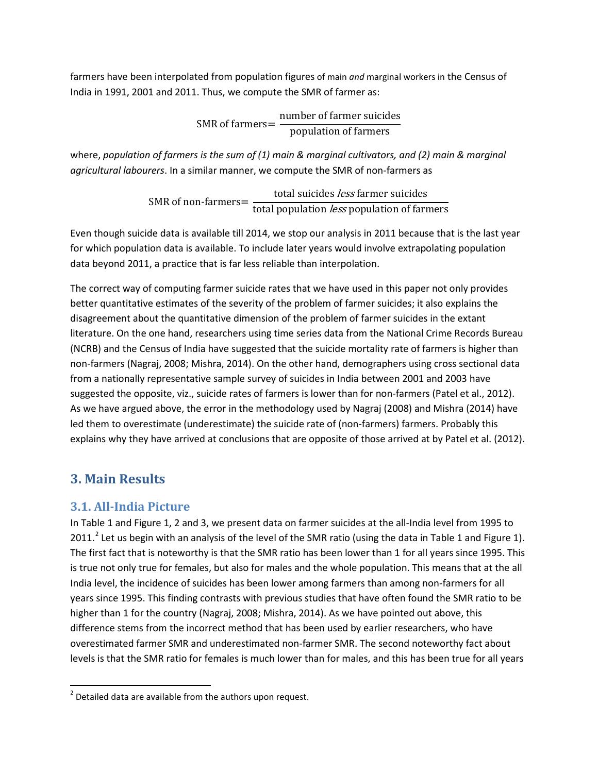farmers have been interpolated from population figures of main *and* marginal workers in the Census of India in 1991, 2001 and 2011. Thus, we compute the SMR of farmer as:

> SMR of farmers= number of farmer suicides population of farmers

where, *population of farmers is the sum of (1) main & marginal cultivators, and (2) main & marginal agricultural labourers*. In a similar manner, we compute the SMR of non-farmers as

> SMR of non-farmers= total suicides *less* farmer suicides total population less population of farmers

Even though suicide data is available till 2014, we stop our analysis in 2011 because that is the last year for which population data is available. To include later years would involve extrapolating population data beyond 2011, a practice that is far less reliable than interpolation.

The correct way of computing farmer suicide rates that we have used in this paper not only provides better quantitative estimates of the severity of the problem of farmer suicides; it also explains the disagreement about the quantitative dimension of the problem of farmer suicides in the extant literature. On the one hand, researchers using time series data from the National Crime Records Bureau (NCRB) and the Census of India have suggested that the suicide mortality rate of farmers is higher than non-farmers (Nagraj, 2008; Mishra, 2014). On the other hand, demographers using cross sectional data from a nationally representative sample survey of suicides in India between 2001 and 2003 have suggested the opposite, viz., suicide rates of farmers is lower than for non-farmers (Patel et al., 2012). As we have argued above, the error in the methodology used by Nagraj (2008) and Mishra (2014) have led them to overestimate (underestimate) the suicide rate of (non-farmers) farmers. Probably this explains why they have arrived at conclusions that are opposite of those arrived at by Patel et al. (2012).

## **3. Main Results**

 $\overline{\phantom{0}}$ 

### **3.1. All-India Picture**

In Table 1 and Figure 1, 2 and 3, we present data on farmer suicides at the all-India level from 1995 to [2](#page-5-0)011.<sup>2</sup> Let us begin with an analysis of the level of the SMR ratio (using the data in Table 1 and Figure 1). The first fact that is noteworthy is that the SMR ratio has been lower than 1 for all years since 1995. This is true not only true for females, but also for males and the whole population. This means that at the all India level, the incidence of suicides has been lower among farmers than among non-farmers for all years since 1995. This finding contrasts with previous studies that have often found the SMR ratio to be higher than 1 for the country (Nagraj, 2008; Mishra, 2014). As we have pointed out above, this difference stems from the incorrect method that has been used by earlier researchers, who have overestimated farmer SMR and underestimated non-farmer SMR. The second noteworthy fact about levels is that the SMR ratio for females is much lower than for males, and this has been true for all years

<span id="page-5-0"></span> $2$  Detailed data are available from the authors upon request.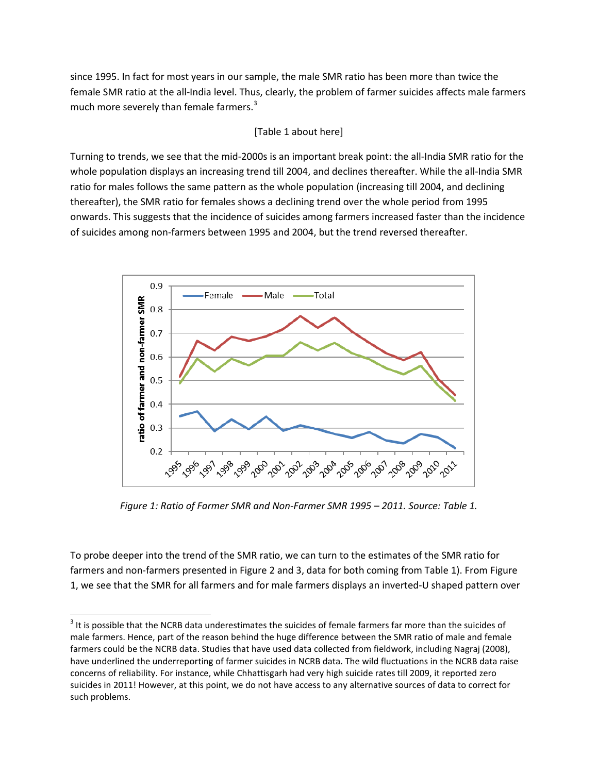since 1995. In fact for most years in our sample, the male SMR ratio has been more than twice the female SMR ratio at the all-India level. Thus, clearly, the problem of farmer suicides affects male farmers much more severely than female farmers.<sup>[3](#page-6-0)</sup>

#### [Table 1 about here]

Turning to trends, we see that the mid-2000s is an important break point: the all-India SMR ratio for the whole population displays an increasing trend till 2004, and declines thereafter. While the all-India SMR ratio for males follows the same pattern as the whole population (increasing till 2004, and declining thereafter), the SMR ratio for females shows a declining trend over the whole period from 1995 onwards. This suggests that the incidence of suicides among farmers increased faster than the incidence of suicides among non-farmers between 1995 and 2004, but the trend reversed thereafter.



*Figure 1: Ratio of Farmer SMR and Non-Farmer SMR 1995 – 2011. Source: Table 1.*

To probe deeper into the trend of the SMR ratio, we can turn to the estimates of the SMR ratio for farmers and non-farmers presented in Figure 2 and 3, data for both coming from Table 1). From Figure 1, we see that the SMR for all farmers and for male farmers displays an inverted-U shaped pattern over

<u>.</u>

<span id="page-6-0"></span> $3$  It is possible that the NCRB data underestimates the suicides of female farmers far more than the suicides of male farmers. Hence, part of the reason behind the huge difference between the SMR ratio of male and female farmers could be the NCRB data. Studies that have used data collected from fieldwork, including Nagraj (2008), have underlined the underreporting of farmer suicides in NCRB data. The wild fluctuations in the NCRB data raise concerns of reliability. For instance, while Chhattisgarh had very high suicide rates till 2009, it reported zero suicides in 2011! However, at this point, we do not have access to any alternative sources of data to correct for such problems.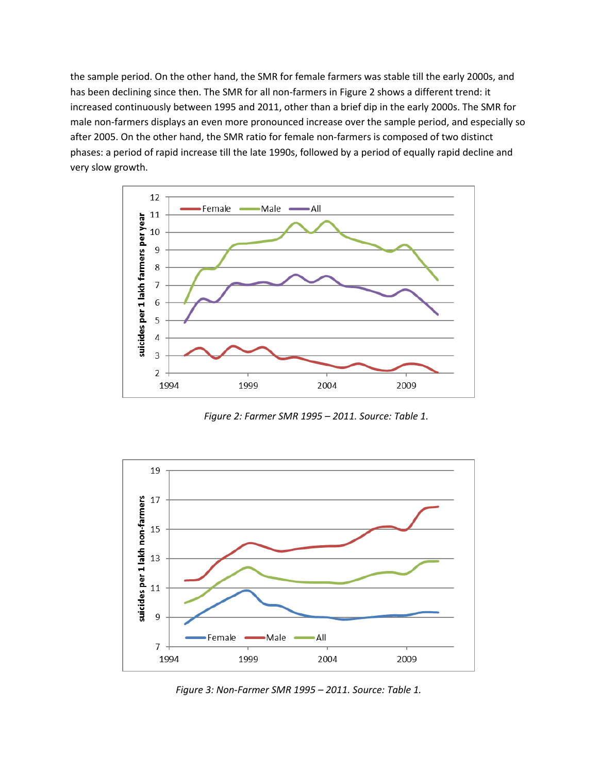the sample period. On the other hand, the SMR for female farmers was stable till the early 2000s, and has been declining since then. The SMR for all non-farmers in Figure 2 shows a different trend: it increased continuously between 1995 and 2011, other than a brief dip in the early 2000s. The SMR for male non-farmers displays an even more pronounced increase over the sample period, and especially so after 2005. On the other hand, the SMR ratio for female non-farmers is composed of two distinct phases: a period of rapid increase till the late 1990s, followed by a period of equally rapid decline and very slow growth.



*Figure 2: Farmer SMR 1995 – 2011. Source: Table 1.* 



*Figure 3: Non-Farmer SMR 1995 – 2011. Source: Table 1.*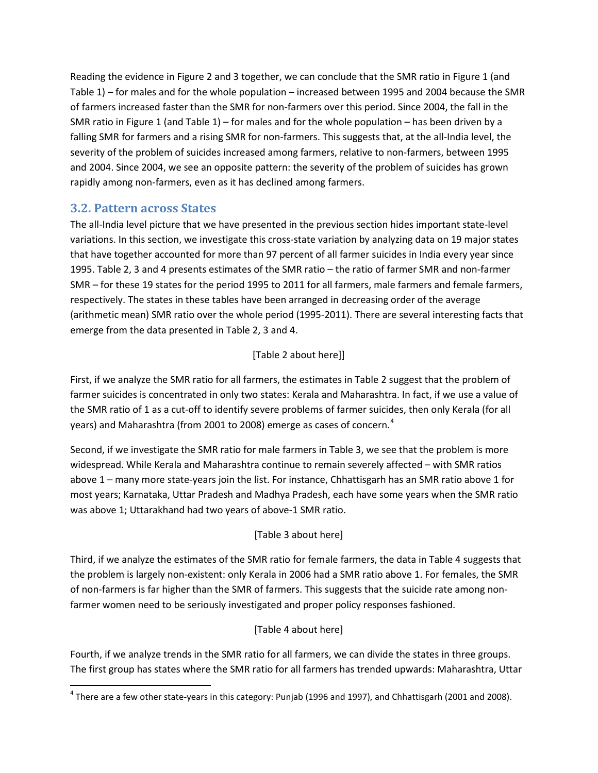Reading the evidence in Figure 2 and 3 together, we can conclude that the SMR ratio in Figure 1 (and Table 1) – for males and for the whole population – increased between 1995 and 2004 because the SMR of farmers increased faster than the SMR for non-farmers over this period. Since 2004, the fall in the SMR ratio in Figure 1 (and Table 1) – for males and for the whole population – has been driven by a falling SMR for farmers and a rising SMR for non-farmers. This suggests that, at the all-India level, the severity of the problem of suicides increased among farmers, relative to non-farmers, between 1995 and 2004. Since 2004, we see an opposite pattern: the severity of the problem of suicides has grown rapidly among non-farmers, even as it has declined among farmers.

#### **3.2. Pattern across States**

<u>.</u>

The all-India level picture that we have presented in the previous section hides important state-level variations. In this section, we investigate this cross-state variation by analyzing data on 19 major states that have together accounted for more than 97 percent of all farmer suicides in India every year since 1995. Table 2, 3 and 4 presents estimates of the SMR ratio – the ratio of farmer SMR and non-farmer SMR – for these 19 states for the period 1995 to 2011 for all farmers, male farmers and female farmers, respectively. The states in these tables have been arranged in decreasing order of the average (arithmetic mean) SMR ratio over the whole period (1995-2011). There are several interesting facts that emerge from the data presented in Table 2, 3 and 4.

#### [Table 2 about here]]

First, if we analyze the SMR ratio for all farmers, the estimates in Table 2 suggest that the problem of farmer suicides is concentrated in only two states: Kerala and Maharashtra. In fact, if we use a value of the SMR ratio of 1 as a cut-off to identify severe problems of farmer suicides, then only Kerala (for all years) and Maharashtra (from 2001 to 2008) emerge as cases of concern.<sup>[4](#page-8-0)</sup>

Second, if we investigate the SMR ratio for male farmers in Table 3, we see that the problem is more widespread. While Kerala and Maharashtra continue to remain severely affected – with SMR ratios above 1 – many more state-years join the list. For instance, Chhattisgarh has an SMR ratio above 1 for most years; Karnataka, Uttar Pradesh and Madhya Pradesh, each have some years when the SMR ratio was above 1; Uttarakhand had two years of above-1 SMR ratio.

#### [Table 3 about here]

Third, if we analyze the estimates of the SMR ratio for female farmers, the data in Table 4 suggests that the problem is largely non-existent: only Kerala in 2006 had a SMR ratio above 1. For females, the SMR of non-farmers is far higher than the SMR of farmers. This suggests that the suicide rate among nonfarmer women need to be seriously investigated and proper policy responses fashioned.

#### [Table 4 about here]

Fourth, if we analyze trends in the SMR ratio for all farmers, we can divide the states in three groups. The first group has states where the SMR ratio for all farmers has trended upwards: Maharashtra, Uttar

<span id="page-8-0"></span> $^4$  There are a few other state-years in this category: Punjab (1996 and 1997), and Chhattisgarh (2001 and 2008).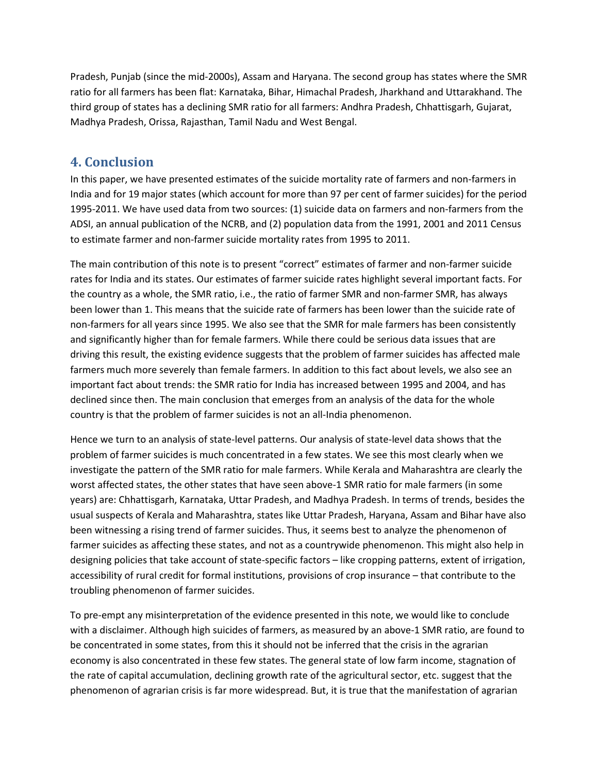Pradesh, Punjab (since the mid-2000s), Assam and Haryana. The second group has states where the SMR ratio for all farmers has been flat: Karnataka, Bihar, Himachal Pradesh, Jharkhand and Uttarakhand. The third group of states has a declining SMR ratio for all farmers: Andhra Pradesh, Chhattisgarh, Gujarat, Madhya Pradesh, Orissa, Rajasthan, Tamil Nadu and West Bengal.

## **4. Conclusion**

In this paper, we have presented estimates of the suicide mortality rate of farmers and non-farmers in India and for 19 major states (which account for more than 97 per cent of farmer suicides) for the period 1995-2011. We have used data from two sources: (1) suicide data on farmers and non-farmers from the ADSI, an annual publication of the NCRB, and (2) population data from the 1991, 2001 and 2011 Census to estimate farmer and non-farmer suicide mortality rates from 1995 to 2011.

The main contribution of this note is to present "correct" estimates of farmer and non-farmer suicide rates for India and its states. Our estimates of farmer suicide rates highlight several important facts. For the country as a whole, the SMR ratio, i.e., the ratio of farmer SMR and non-farmer SMR, has always been lower than 1. This means that the suicide rate of farmers has been lower than the suicide rate of non-farmers for all years since 1995. We also see that the SMR for male farmers has been consistently and significantly higher than for female farmers. While there could be serious data issues that are driving this result, the existing evidence suggests that the problem of farmer suicides has affected male farmers much more severely than female farmers. In addition to this fact about levels, we also see an important fact about trends: the SMR ratio for India has increased between 1995 and 2004, and has declined since then. The main conclusion that emerges from an analysis of the data for the whole country is that the problem of farmer suicides is not an all-India phenomenon.

Hence we turn to an analysis of state-level patterns. Our analysis of state-level data shows that the problem of farmer suicides is much concentrated in a few states. We see this most clearly when we investigate the pattern of the SMR ratio for male farmers. While Kerala and Maharashtra are clearly the worst affected states, the other states that have seen above-1 SMR ratio for male farmers (in some years) are: Chhattisgarh, Karnataka, Uttar Pradesh, and Madhya Pradesh. In terms of trends, besides the usual suspects of Kerala and Maharashtra, states like Uttar Pradesh, Haryana, Assam and Bihar have also been witnessing a rising trend of farmer suicides. Thus, it seems best to analyze the phenomenon of farmer suicides as affecting these states, and not as a countrywide phenomenon. This might also help in designing policies that take account of state-specific factors – like cropping patterns, extent of irrigation, accessibility of rural credit for formal institutions, provisions of crop insurance – that contribute to the troubling phenomenon of farmer suicides.

To pre-empt any misinterpretation of the evidence presented in this note, we would like to conclude with a disclaimer. Although high suicides of farmers, as measured by an above-1 SMR ratio, are found to be concentrated in some states, from this it should not be inferred that the crisis in the agrarian economy is also concentrated in these few states. The general state of low farm income, stagnation of the rate of capital accumulation, declining growth rate of the agricultural sector, etc. suggest that the phenomenon of agrarian crisis is far more widespread. But, it is true that the manifestation of agrarian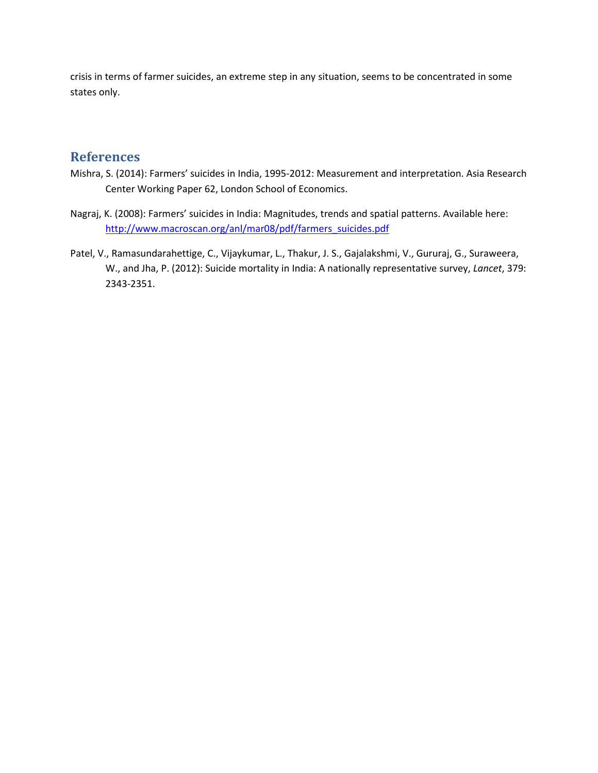crisis in terms of farmer suicides, an extreme step in any situation, seems to be concentrated in some states only.

### **References**

- Mishra, S. (2014): Farmers' suicides in India, 1995-2012: Measurement and interpretation. Asia Research Center Working Paper 62, London School of Economics.
- Nagraj, K. (2008): Farmers' suicides in India: Magnitudes, trends and spatial patterns. Available here: [http://www.macroscan.org/anl/mar08/pdf/farmers\\_suicides.pdf](http://www.macroscan.org/anl/mar08/pdf/farmers_suicides.pdf)
- Patel, V., Ramasundarahettige, C., Vijaykumar, L., Thakur, J. S., Gajalakshmi, V., Gururaj, G., Suraweera, W., and Jha, P. (2012): Suicide mortality in India: A nationally representative survey, *Lancet*, 379: 2343-2351.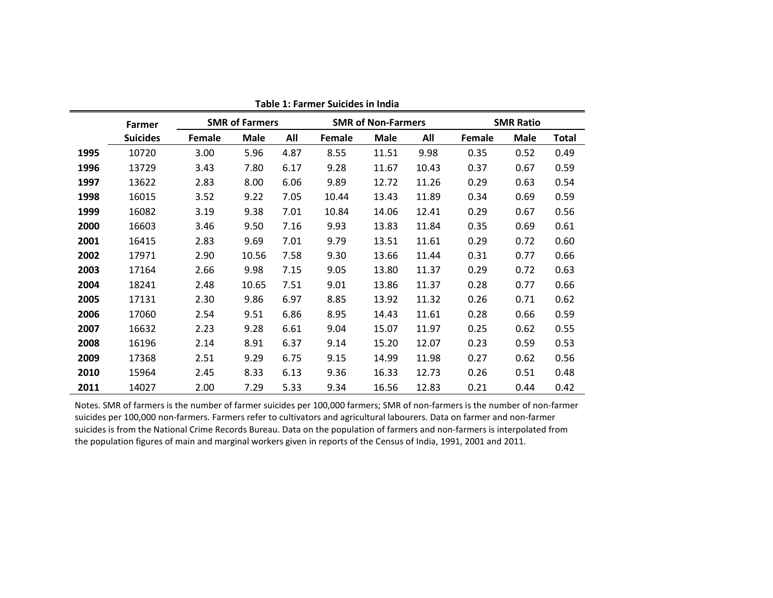|      | Farmer          |        | <b>SMR of Farmers</b> |      |        | <b>SMR of Non-Farmers</b> |       |        | <b>SMR Ratio</b> |              |  |  |  |
|------|-----------------|--------|-----------------------|------|--------|---------------------------|-------|--------|------------------|--------------|--|--|--|
|      | <b>Suicides</b> | Female | <b>Male</b>           | All  | Female | <b>Male</b>               | All   | Female | <b>Male</b>      | <b>Total</b> |  |  |  |
| 1995 | 10720           | 3.00   | 5.96                  | 4.87 | 8.55   | 11.51                     | 9.98  | 0.35   | 0.52             | 0.49         |  |  |  |
| 1996 | 13729           | 3.43   | 7.80                  | 6.17 | 9.28   | 11.67                     | 10.43 | 0.37   | 0.67             | 0.59         |  |  |  |
| 1997 | 13622           | 2.83   | 8.00                  | 6.06 | 9.89   | 12.72                     | 11.26 | 0.29   | 0.63             | 0.54         |  |  |  |
| 1998 | 16015           | 3.52   | 9.22                  | 7.05 | 10.44  | 13.43                     | 11.89 | 0.34   | 0.69             | 0.59         |  |  |  |
| 1999 | 16082           | 3.19   | 9.38                  | 7.01 | 10.84  | 14.06                     | 12.41 | 0.29   | 0.67             | 0.56         |  |  |  |
| 2000 | 16603           | 3.46   | 9.50                  | 7.16 | 9.93   | 13.83                     | 11.84 | 0.35   | 0.69             | 0.61         |  |  |  |
| 2001 | 16415           | 2.83   | 9.69                  | 7.01 | 9.79   | 13.51                     | 11.61 | 0.29   | 0.72             | 0.60         |  |  |  |
| 2002 | 17971           | 2.90   | 10.56                 | 7.58 | 9.30   | 13.66                     | 11.44 | 0.31   | 0.77             | 0.66         |  |  |  |
| 2003 | 17164           | 2.66   | 9.98                  | 7.15 | 9.05   | 13.80                     | 11.37 | 0.29   | 0.72             | 0.63         |  |  |  |
| 2004 | 18241           | 2.48   | 10.65                 | 7.51 | 9.01   | 13.86                     | 11.37 | 0.28   | 0.77             | 0.66         |  |  |  |
| 2005 | 17131           | 2.30   | 9.86                  | 6.97 | 8.85   | 13.92                     | 11.32 | 0.26   | 0.71             | 0.62         |  |  |  |
| 2006 | 17060           | 2.54   | 9.51                  | 6.86 | 8.95   | 14.43                     | 11.61 | 0.28   | 0.66             | 0.59         |  |  |  |
| 2007 | 16632           | 2.23   | 9.28                  | 6.61 | 9.04   | 15.07                     | 11.97 | 0.25   | 0.62             | 0.55         |  |  |  |
| 2008 | 16196           | 2.14   | 8.91                  | 6.37 | 9.14   | 15.20                     | 12.07 | 0.23   | 0.59             | 0.53         |  |  |  |
| 2009 | 17368           | 2.51   | 9.29                  | 6.75 | 9.15   | 14.99                     | 11.98 | 0.27   | 0.62             | 0.56         |  |  |  |
| 2010 | 15964           | 2.45   | 8.33                  | 6.13 | 9.36   | 16.33                     | 12.73 | 0.26   | 0.51             | 0.48         |  |  |  |
| 2011 | 14027           | 2.00   | 7.29                  | 5.33 | 9.34   | 16.56                     | 12.83 | 0.21   | 0.44             | 0.42         |  |  |  |

**Table 1: Farmer Suicides in India**

Notes. SMR of farmers is the number of farmer suicides per 100,000 farmers; SMR of non-farmers is the number of non-farmer suicides per 100,000 non-farmers. Farmers refer to cultivators and agricultural labourers. Data on farmer and non-farmer suicides is from the National Crime Records Bureau. Data on the population of farmers and non-farmers is interpolated from the population figures of main and marginal workers given in reports of the Census of India, 1991, 2001 and 2011.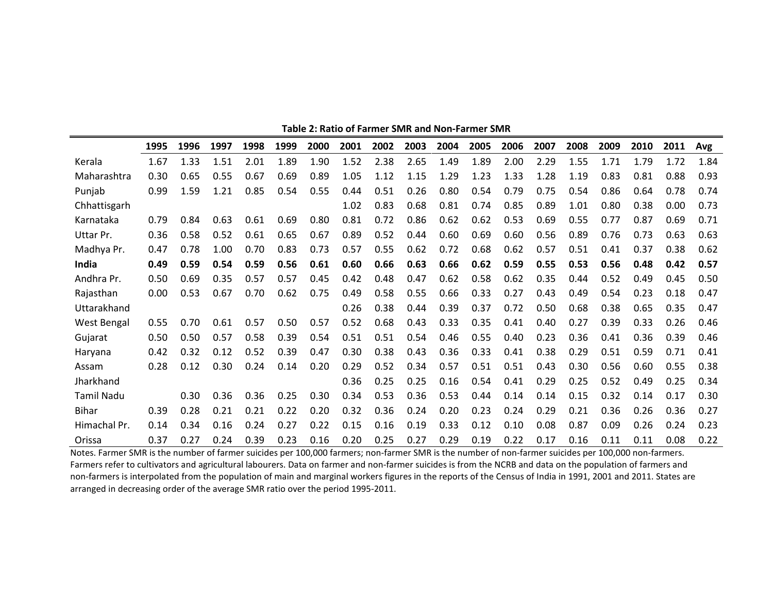|                    | 1995 | 1996 | 1997 | 1998 | 1999 | 2000 | 2001 | 2002 | 2003 | 2004 | 2005 | 2006 | 2007 | 2008 | 2009 | 2010 | 2011 | Avg  |
|--------------------|------|------|------|------|------|------|------|------|------|------|------|------|------|------|------|------|------|------|
| Kerala             | 1.67 | 1.33 | 1.51 | 2.01 | 1.89 | 1.90 | 1.52 | 2.38 | 2.65 | 1.49 | 1.89 | 2.00 | 2.29 | 1.55 | 1.71 | 1.79 | 1.72 | 1.84 |
| Maharashtra        | 0.30 | 0.65 | 0.55 | 0.67 | 0.69 | 0.89 | 1.05 | 1.12 | 1.15 | 1.29 | 1.23 | 1.33 | 1.28 | 1.19 | 0.83 | 0.81 | 0.88 | 0.93 |
| Punjab             | 0.99 | 1.59 | 1.21 | 0.85 | 0.54 | 0.55 | 0.44 | 0.51 | 0.26 | 0.80 | 0.54 | 0.79 | 0.75 | 0.54 | 0.86 | 0.64 | 0.78 | 0.74 |
| Chhattisgarh       |      |      |      |      |      |      | 1.02 | 0.83 | 0.68 | 0.81 | 0.74 | 0.85 | 0.89 | 1.01 | 0.80 | 0.38 | 0.00 | 0.73 |
| Karnataka          | 0.79 | 0.84 | 0.63 | 0.61 | 0.69 | 0.80 | 0.81 | 0.72 | 0.86 | 0.62 | 0.62 | 0.53 | 0.69 | 0.55 | 0.77 | 0.87 | 0.69 | 0.71 |
| Uttar Pr.          | 0.36 | 0.58 | 0.52 | 0.61 | 0.65 | 0.67 | 0.89 | 0.52 | 0.44 | 0.60 | 0.69 | 0.60 | 0.56 | 0.89 | 0.76 | 0.73 | 0.63 | 0.63 |
| Madhya Pr.         | 0.47 | 0.78 | 1.00 | 0.70 | 0.83 | 0.73 | 0.57 | 0.55 | 0.62 | 0.72 | 0.68 | 0.62 | 0.57 | 0.51 | 0.41 | 0.37 | 0.38 | 0.62 |
| India              | 0.49 | 0.59 | 0.54 | 0.59 | 0.56 | 0.61 | 0.60 | 0.66 | 0.63 | 0.66 | 0.62 | 0.59 | 0.55 | 0.53 | 0.56 | 0.48 | 0.42 | 0.57 |
| Andhra Pr.         | 0.50 | 0.69 | 0.35 | 0.57 | 0.57 | 0.45 | 0.42 | 0.48 | 0.47 | 0.62 | 0.58 | 0.62 | 0.35 | 0.44 | 0.52 | 0.49 | 0.45 | 0.50 |
| Rajasthan          | 0.00 | 0.53 | 0.67 | 0.70 | 0.62 | 0.75 | 0.49 | 0.58 | 0.55 | 0.66 | 0.33 | 0.27 | 0.43 | 0.49 | 0.54 | 0.23 | 0.18 | 0.47 |
| Uttarakhand        |      |      |      |      |      |      | 0.26 | 0.38 | 0.44 | 0.39 | 0.37 | 0.72 | 0.50 | 0.68 | 0.38 | 0.65 | 0.35 | 0.47 |
| <b>West Bengal</b> | 0.55 | 0.70 | 0.61 | 0.57 | 0.50 | 0.57 | 0.52 | 0.68 | 0.43 | 0.33 | 0.35 | 0.41 | 0.40 | 0.27 | 0.39 | 0.33 | 0.26 | 0.46 |
| Gujarat            | 0.50 | 0.50 | 0.57 | 0.58 | 0.39 | 0.54 | 0.51 | 0.51 | 0.54 | 0.46 | 0.55 | 0.40 | 0.23 | 0.36 | 0.41 | 0.36 | 0.39 | 0.46 |
| Haryana            | 0.42 | 0.32 | 0.12 | 0.52 | 0.39 | 0.47 | 0.30 | 0.38 | 0.43 | 0.36 | 0.33 | 0.41 | 0.38 | 0.29 | 0.51 | 0.59 | 0.71 | 0.41 |
| Assam              | 0.28 | 0.12 | 0.30 | 0.24 | 0.14 | 0.20 | 0.29 | 0.52 | 0.34 | 0.57 | 0.51 | 0.51 | 0.43 | 0.30 | 0.56 | 0.60 | 0.55 | 0.38 |
| Jharkhand          |      |      |      |      |      |      | 0.36 | 0.25 | 0.25 | 0.16 | 0.54 | 0.41 | 0.29 | 0.25 | 0.52 | 0.49 | 0.25 | 0.34 |
| <b>Tamil Nadu</b>  |      | 0.30 | 0.36 | 0.36 | 0.25 | 0.30 | 0.34 | 0.53 | 0.36 | 0.53 | 0.44 | 0.14 | 0.14 | 0.15 | 0.32 | 0.14 | 0.17 | 0.30 |
| Bihar              | 0.39 | 0.28 | 0.21 | 0.21 | 0.22 | 0.20 | 0.32 | 0.36 | 0.24 | 0.20 | 0.23 | 0.24 | 0.29 | 0.21 | 0.36 | 0.26 | 0.36 | 0.27 |
| Himachal Pr.       | 0.14 | 0.34 | 0.16 | 0.24 | 0.27 | 0.22 | 0.15 | 0.16 | 0.19 | 0.33 | 0.12 | 0.10 | 0.08 | 0.87 | 0.09 | 0.26 | 0.24 | 0.23 |
| Orissa             | 0.37 | 0.27 | 0.24 | 0.39 | 0.23 | 0.16 | 0.20 | 0.25 | 0.27 | 0.29 | 0.19 | 0.22 | 0.17 | 0.16 | 0.11 | 0.11 | 0.08 | 0.22 |

**Table 2: Ratio of Farmer SMR and Non-Farmer SMR**

Notes. Farmer SMR is the number of farmer suicides per 100,000 farmers; non-farmer SMR is the number of non-farmer suicides per 100,000 non-farmers. Farmers refer to cultivators and agricultural labourers. Data on farmer and non-farmer suicides is from the NCRB and data on the population of farmers and non-farmers is interpolated from the population of main and marginal workers figures in the reports of the Census of India in 1991, 2001 and 2011. States are arranged in decreasing order of the average SMR ratio over the period 1995-2011.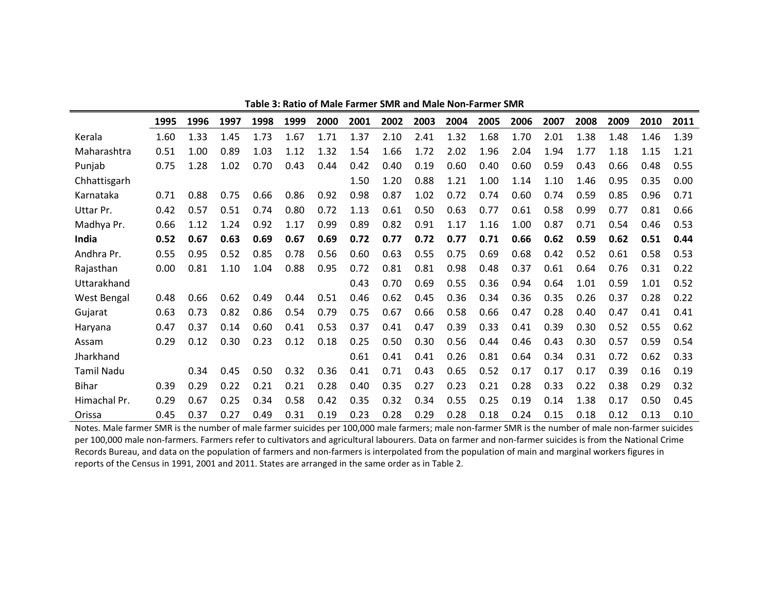|                   | 1995 | 1996 | 1997 | 1998 | 1999 | 2000 | 2001 | 2002 | 2003 | 2004 | 2005 | 2006 | 2007 | 2008 | 2009 | 2010 | 2011 |
|-------------------|------|------|------|------|------|------|------|------|------|------|------|------|------|------|------|------|------|
| Kerala            | 1.60 | 1.33 | 1.45 | 1.73 | 1.67 | 1.71 | 1.37 | 2.10 | 2.41 | 1.32 | 1.68 | 1.70 | 2.01 | 1.38 | 1.48 | 1.46 | 1.39 |
| Maharashtra       | 0.51 | 1.00 | 0.89 | 1.03 | 1.12 | 1.32 | 1.54 | 1.66 | 1.72 | 2.02 | 1.96 | 2.04 | 1.94 | 1.77 | 1.18 | 1.15 | 1.21 |
| Punjab            | 0.75 | 1.28 | 1.02 | 0.70 | 0.43 | 0.44 | 0.42 | 0.40 | 0.19 | 0.60 | 0.40 | 0.60 | 0.59 | 0.43 | 0.66 | 0.48 | 0.55 |
| Chhattisgarh      |      |      |      |      |      |      | 1.50 | 1.20 | 0.88 | 1.21 | 1.00 | 1.14 | 1.10 | 1.46 | 0.95 | 0.35 | 0.00 |
| Karnataka         | 0.71 | 0.88 | 0.75 | 0.66 | 0.86 | 0.92 | 0.98 | 0.87 | 1.02 | 0.72 | 0.74 | 0.60 | 0.74 | 0.59 | 0.85 | 0.96 | 0.71 |
| Uttar Pr.         | 0.42 | 0.57 | 0.51 | 0.74 | 0.80 | 0.72 | 1.13 | 0.61 | 0.50 | 0.63 | 0.77 | 0.61 | 0.58 | 0.99 | 0.77 | 0.81 | 0.66 |
| Madhya Pr.        | 0.66 | 1.12 | 1.24 | 0.92 | 1.17 | 0.99 | 0.89 | 0.82 | 0.91 | 1.17 | 1.16 | 1.00 | 0.87 | 0.71 | 0.54 | 0.46 | 0.53 |
| India             | 0.52 | 0.67 | 0.63 | 0.69 | 0.67 | 0.69 | 0.72 | 0.77 | 0.72 | 0.77 | 0.71 | 0.66 | 0.62 | 0.59 | 0.62 | 0.51 | 0.44 |
| Andhra Pr.        | 0.55 | 0.95 | 0.52 | 0.85 | 0.78 | 0.56 | 0.60 | 0.63 | 0.55 | 0.75 | 0.69 | 0.68 | 0.42 | 0.52 | 0.61 | 0.58 | 0.53 |
| Rajasthan         | 0.00 | 0.81 | 1.10 | 1.04 | 0.88 | 0.95 | 0.72 | 0.81 | 0.81 | 0.98 | 0.48 | 0.37 | 0.61 | 0.64 | 0.76 | 0.31 | 0.22 |
| Uttarakhand       |      |      |      |      |      |      | 0.43 | 0.70 | 0.69 | 0.55 | 0.36 | 0.94 | 0.64 | 1.01 | 0.59 | 1.01 | 0.52 |
| West Bengal       | 0.48 | 0.66 | 0.62 | 0.49 | 0.44 | 0.51 | 0.46 | 0.62 | 0.45 | 0.36 | 0.34 | 0.36 | 0.35 | 0.26 | 0.37 | 0.28 | 0.22 |
| Gujarat           | 0.63 | 0.73 | 0.82 | 0.86 | 0.54 | 0.79 | 0.75 | 0.67 | 0.66 | 0.58 | 0.66 | 0.47 | 0.28 | 0.40 | 0.47 | 0.41 | 0.41 |
| Haryana           | 0.47 | 0.37 | 0.14 | 0.60 | 0.41 | 0.53 | 0.37 | 0.41 | 0.47 | 0.39 | 0.33 | 0.41 | 0.39 | 0.30 | 0.52 | 0.55 | 0.62 |
| Assam             | 0.29 | 0.12 | 0.30 | 0.23 | 0.12 | 0.18 | 0.25 | 0.50 | 0.30 | 0.56 | 0.44 | 0.46 | 0.43 | 0.30 | 0.57 | 0.59 | 0.54 |
| Jharkhand         |      |      |      |      |      |      | 0.61 | 0.41 | 0.41 | 0.26 | 0.81 | 0.64 | 0.34 | 0.31 | 0.72 | 0.62 | 0.33 |
| <b>Tamil Nadu</b> |      | 0.34 | 0.45 | 0.50 | 0.32 | 0.36 | 0.41 | 0.71 | 0.43 | 0.65 | 0.52 | 0.17 | 0.17 | 0.17 | 0.39 | 0.16 | 0.19 |
| <b>Bihar</b>      | 0.39 | 0.29 | 0.22 | 0.21 | 0.21 | 0.28 | 0.40 | 0.35 | 0.27 | 0.23 | 0.21 | 0.28 | 0.33 | 0.22 | 0.38 | 0.29 | 0.32 |
| Himachal Pr.      | 0.29 | 0.67 | 0.25 | 0.34 | 0.58 | 0.42 | 0.35 | 0.32 | 0.34 | 0.55 | 0.25 | 0.19 | 0.14 | 1.38 | 0.17 | 0.50 | 0.45 |
| Orissa            | 0.45 | 0.37 | 0.27 | 0.49 | 0.31 | 0.19 | 0.23 | 0.28 | 0.29 | 0.28 | 0.18 | 0.24 | 0.15 | 0.18 | 0.12 | 0.13 | 0.10 |

**Table 3: Ratio of Male Farmer SMR and Male Non-Farmer SMR**

Notes. Male farmer SMR is the number of male farmer suicides per 100,000 male farmers; male non-farmer SMR is the number of male non-farmer suicides per 100,000 male non-farmers. Farmers refer to cultivators and agricultural labourers. Data on farmer and non-farmer suicides is from the National Crime Records Bureau, and data on the population of farmers and non-farmers is interpolated from the population of main and marginal workers figures in reports of the Census in 1991, 2001 and 2011. States are arranged in the same order as in Table 2.